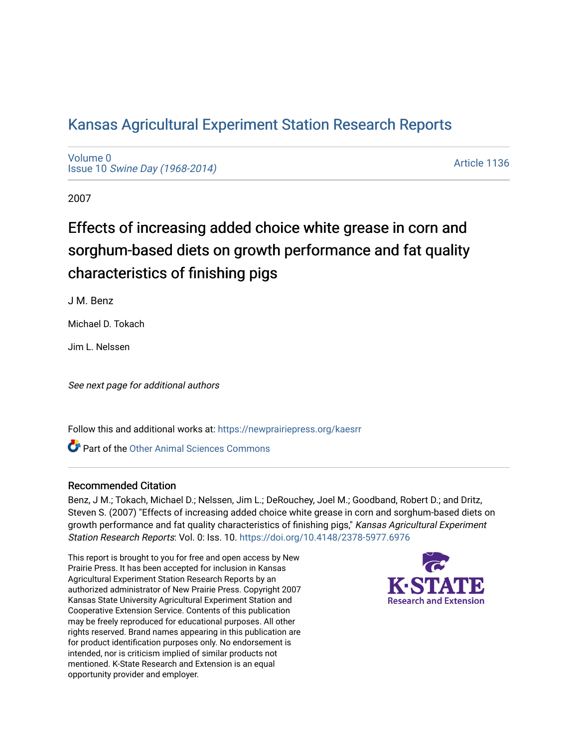# [Kansas Agricultural Experiment Station Research Reports](https://newprairiepress.org/kaesrr)

[Volume 0](https://newprairiepress.org/kaesrr/vol0) Issue 10 [Swine Day \(1968-2014\)](https://newprairiepress.org/kaesrr/vol0/iss10)

[Article 1136](https://newprairiepress.org/kaesrr/vol0/iss10/1136) 

2007

# Effects of increasing added choice white grease in corn and sorghum-based diets on growth performance and fat quality characteristics of finishing pigs

J M. Benz

Michael D. Tokach

Jim L. Nelssen

See next page for additional authors

Follow this and additional works at: [https://newprairiepress.org/kaesrr](https://newprairiepress.org/kaesrr?utm_source=newprairiepress.org%2Fkaesrr%2Fvol0%2Fiss10%2F1136&utm_medium=PDF&utm_campaign=PDFCoverPages) 

**C** Part of the [Other Animal Sciences Commons](http://network.bepress.com/hgg/discipline/82?utm_source=newprairiepress.org%2Fkaesrr%2Fvol0%2Fiss10%2F1136&utm_medium=PDF&utm_campaign=PDFCoverPages)

#### Recommended Citation

Benz, J M.; Tokach, Michael D.; Nelssen, Jim L.; DeRouchey, Joel M.; Goodband, Robert D.; and Dritz, Steven S. (2007) "Effects of increasing added choice white grease in corn and sorghum-based diets on growth performance and fat quality characteristics of finishing pigs," Kansas Agricultural Experiment Station Research Reports: Vol. 0: Iss. 10. <https://doi.org/10.4148/2378-5977.6976>

This report is brought to you for free and open access by New Prairie Press. It has been accepted for inclusion in Kansas Agricultural Experiment Station Research Reports by an authorized administrator of New Prairie Press. Copyright 2007 Kansas State University Agricultural Experiment Station and Cooperative Extension Service. Contents of this publication may be freely reproduced for educational purposes. All other rights reserved. Brand names appearing in this publication are for product identification purposes only. No endorsement is intended, nor is criticism implied of similar products not mentioned. K-State Research and Extension is an equal opportunity provider and employer.

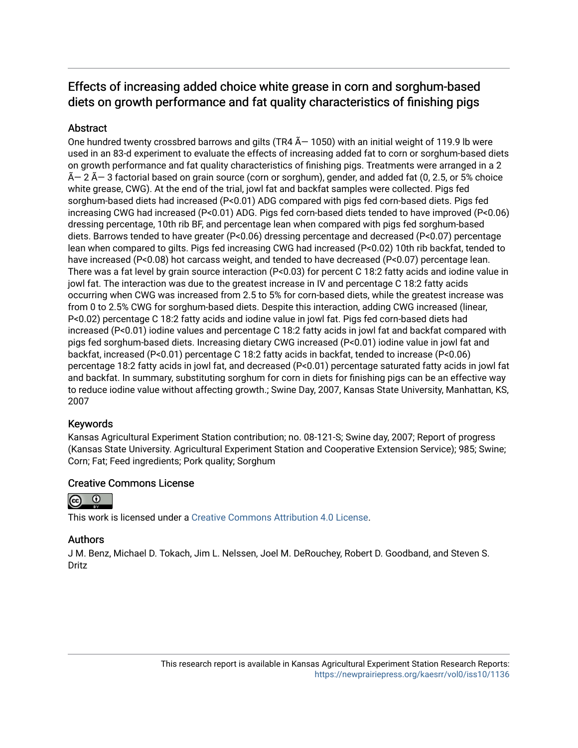## Effects of increasing added choice white grease in corn and sorghum-based diets on growth performance and fat quality characteristics of finishing pigs

## Abstract

One hundred twenty crossbred barrows and gilts (TR4  $\tilde{A}$  – 1050) with an initial weight of 119.9 lb were used in an 83-d experiment to evaluate the effects of increasing added fat to corn or sorghum-based diets on growth performance and fat quality characteristics of finishing pigs. Treatments were arranged in a 2  $\widetilde{A}$  - 2  $\widetilde{A}$  - 3 factorial based on grain source (corn or sorghum), gender, and added fat (0, 2.5, or 5% choice white grease, CWG). At the end of the trial, jowl fat and backfat samples were collected. Pigs fed sorghum-based diets had increased (P<0.01) ADG compared with pigs fed corn-based diets. Pigs fed increasing CWG had increased (P<0.01) ADG. Pigs fed corn-based diets tended to have improved (P<0.06) dressing percentage, 10th rib BF, and percentage lean when compared with pigs fed sorghum-based diets. Barrows tended to have greater (P<0.06) dressing percentage and decreased (P<0.07) percentage lean when compared to gilts. Pigs fed increasing CWG had increased (P<0.02) 10th rib backfat, tended to have increased (P<0.08) hot carcass weight, and tended to have decreased (P<0.07) percentage lean. There was a fat level by grain source interaction (P<0.03) for percent C 18:2 fatty acids and iodine value in jowl fat. The interaction was due to the greatest increase in IV and percentage C 18:2 fatty acids occurring when CWG was increased from 2.5 to 5% for corn-based diets, while the greatest increase was from 0 to 2.5% CWG for sorghum-based diets. Despite this interaction, adding CWG increased (linear, P<0.02) percentage C 18:2 fatty acids and iodine value in jowl fat. Pigs fed corn-based diets had increased (P<0.01) iodine values and percentage C 18:2 fatty acids in jowl fat and backfat compared with pigs fed sorghum-based diets. Increasing dietary CWG increased (P<0.01) iodine value in jowl fat and backfat, increased (P<0.01) percentage C 18:2 fatty acids in backfat, tended to increase (P<0.06) percentage 18:2 fatty acids in jowl fat, and decreased (P<0.01) percentage saturated fatty acids in jowl fat and backfat. In summary, substituting sorghum for corn in diets for finishing pigs can be an effective way to reduce iodine value without affecting growth.; Swine Day, 2007, Kansas State University, Manhattan, KS, 2007

## Keywords

Kansas Agricultural Experiment Station contribution; no. 08-121-S; Swine day, 2007; Report of progress (Kansas State University. Agricultural Experiment Station and Cooperative Extension Service); 985; Swine; Corn; Fat; Feed ingredients; Pork quality; Sorghum

## Creative Commons License



This work is licensed under a [Creative Commons Attribution 4.0 License](https://creativecommons.org/licenses/by/4.0/).

## Authors

J M. Benz, Michael D. Tokach, Jim L. Nelssen, Joel M. DeRouchey, Robert D. Goodband, and Steven S. Dritz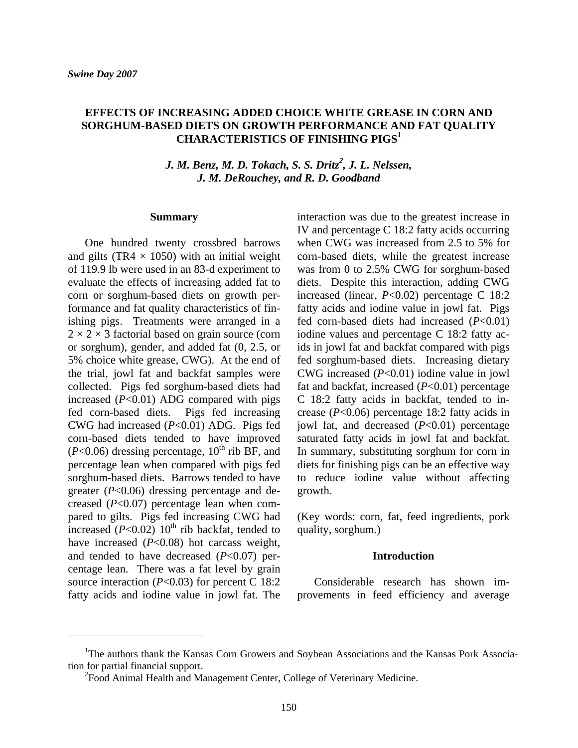### **EFFECTS OF INCREASING ADDED CHOICE WHITE GREASE IN CORN AND SORGHUM-BASED DIETS ON GROWTH PERFORMANCE AND FAT QUALITY CHARACTERISTICS OF FINISHING PIGS1**

*J. M. Benz, M. D. Tokach, S. S. Dritz<sup>2</sup>, J. L. Nelssen, J. M. DeRouchey, and R. D. Goodband* 

#### **Summary**

One hundred twenty crossbred barrows and gilts (TR4  $\times$  1050) with an initial weight of 119.9 lb were used in an 83-d experiment to evaluate the effects of increasing added fat to corn or sorghum-based diets on growth performance and fat quality characteristics of finishing pigs. Treatments were arranged in a  $2 \times 2 \times 3$  factorial based on grain source (corn or sorghum), gender, and added fat (0, 2.5, or 5% choice white grease, CWG). At the end of the trial, jowl fat and backfat samples were collected. Pigs fed sorghum-based diets had increased (*P*<0.01) ADG compared with pigs fed corn-based diets. Pigs fed increasing CWG had increased (*P*<0.01) ADG. Pigs fed corn-based diets tended to have improved  $(P<0.06)$  dressing percentage,  $10^{th}$  rib BF, and percentage lean when compared with pigs fed sorghum-based diets. Barrows tended to have greater (*P*<0.06) dressing percentage and decreased (*P*<0.07) percentage lean when compared to gilts. Pigs fed increasing CWG had increased  $(P<0.02)$  10<sup>th</sup> rib backfat, tended to have increased (*P*<0.08) hot carcass weight, and tended to have decreased (*P*<0.07) percentage lean. There was a fat level by grain source interaction (*P*<0.03) for percent C 18:2 fatty acids and iodine value in jowl fat. The

interaction was due to the greatest increase in IV and percentage C 18:2 fatty acids occurring when CWG was increased from 2.5 to 5% for corn-based diets, while the greatest increase was from 0 to 2.5% CWG for sorghum-based diets. Despite this interaction, adding CWG increased (linear, *P*<0.02) percentage C 18:2 fatty acids and iodine value in jowl fat. Pigs fed corn-based diets had increased (*P*<0.01) iodine values and percentage C 18:2 fatty acids in jowl fat and backfat compared with pigs fed sorghum-based diets. Increasing dietary CWG increased (*P*<0.01) iodine value in jowl fat and backfat, increased (*P*<0.01) percentage C 18:2 fatty acids in backfat, tended to increase (*P*<0.06) percentage 18:2 fatty acids in jowl fat, and decreased (*P*<0.01) percentage saturated fatty acids in jowl fat and backfat. In summary, substituting sorghum for corn in diets for finishing pigs can be an effective way to reduce iodine value without affecting growth.

(Key words: corn, fat, feed ingredients, pork quality, sorghum.)

#### **Introduction**

Considerable research has shown improvements in feed efficiency and average

<sup>&</sup>lt;sup>1</sup>The authors thank the Kansas Corn Growers and Soybean Associations and the Kansas Pork Association for partial financial support.

<sup>&</sup>lt;sup>2</sup> Food Animal Health and Management Center, College of Veterinary Medicine.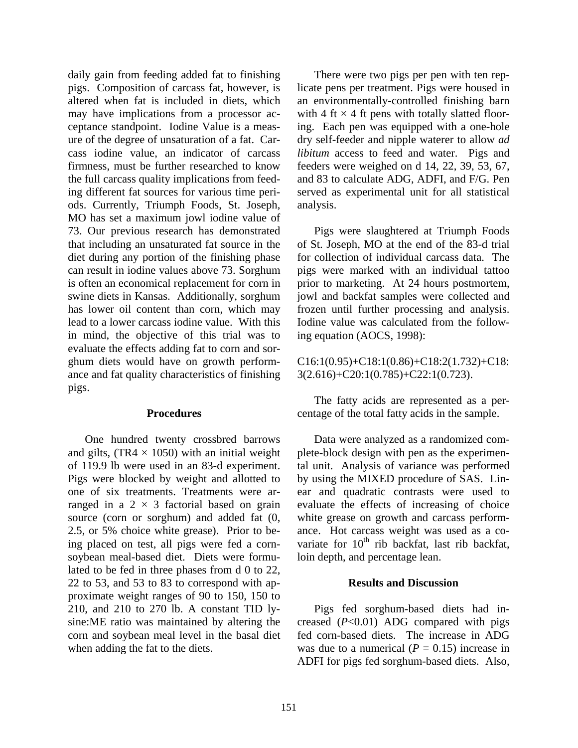daily gain from feeding added fat to finishing pigs. Composition of carcass fat, however, is altered when fat is included in diets, which may have implications from a processor acceptance standpoint. Iodine Value is a measure of the degree of unsaturation of a fat. Carcass iodine value, an indicator of carcass firmness, must be further researched to know the full carcass quality implications from feeding different fat sources for various time periods. Currently, Triumph Foods, St. Joseph, MO has set a maximum jowl iodine value of 73. Our previous research has demonstrated that including an unsaturated fat source in the diet during any portion of the finishing phase can result in iodine values above 73. Sorghum is often an economical replacement for corn in swine diets in Kansas. Additionally, sorghum has lower oil content than corn, which may lead to a lower carcass iodine value. With this in mind, the objective of this trial was to evaluate the effects adding fat to corn and sorghum diets would have on growth performance and fat quality characteristics of finishing pigs.

#### **Procedures**

One hundred twenty crossbred barrows and gilts,  $(TR4 \times 1050)$  with an initial weight of 119.9 lb were used in an 83-d experiment. Pigs were blocked by weight and allotted to one of six treatments. Treatments were arranged in a  $2 \times 3$  factorial based on grain source (corn or sorghum) and added fat (0, 2.5, or 5% choice white grease). Prior to being placed on test, all pigs were fed a cornsoybean meal-based diet. Diets were formulated to be fed in three phases from d 0 to 22, 22 to 53, and 53 to 83 to correspond with approximate weight ranges of 90 to 150, 150 to 210, and 210 to 270 lb. A constant TID lysine:ME ratio was maintained by altering the corn and soybean meal level in the basal diet when adding the fat to the diets.

There were two pigs per pen with ten replicate pens per treatment. Pigs were housed in an environmentally-controlled finishing barn with 4 ft  $\times$  4 ft pens with totally slatted flooring. Each pen was equipped with a one-hole dry self-feeder and nipple waterer to allow *ad libitum* access to feed and water. Pigs and feeders were weighed on d 14, 22, 39, 53, 67, and 83 to calculate ADG, ADFI, and F/G. Pen served as experimental unit for all statistical analysis.

Pigs were slaughtered at Triumph Foods of St. Joseph, MO at the end of the 83-d trial for collection of individual carcass data. The pigs were marked with an individual tattoo prior to marketing. At 24 hours postmortem, jowl and backfat samples were collected and frozen until further processing and analysis. Iodine value was calculated from the following equation (AOCS, 1998):

C16:1(0.95)+C18:1(0.86)+C18:2(1.732)+C18: 3(2.616)+C20:1(0.785)+C22:1(0.723).

The fatty acids are represented as a percentage of the total fatty acids in the sample.

Data were analyzed as a randomized complete-block design with pen as the experimental unit. Analysis of variance was performed by using the MIXED procedure of SAS. Linear and quadratic contrasts were used to evaluate the effects of increasing of choice white grease on growth and carcass performance. Hot carcass weight was used as a covariate for  $10<sup>th</sup>$  rib backfat, last rib backfat, loin depth, and percentage lean.

#### **Results and Discussion**

Pigs fed sorghum-based diets had increased (*P*<0.01) ADG compared with pigs fed corn-based diets. The increase in ADG was due to a numerical  $(P = 0.15)$  increase in ADFI for pigs fed sorghum-based diets. Also,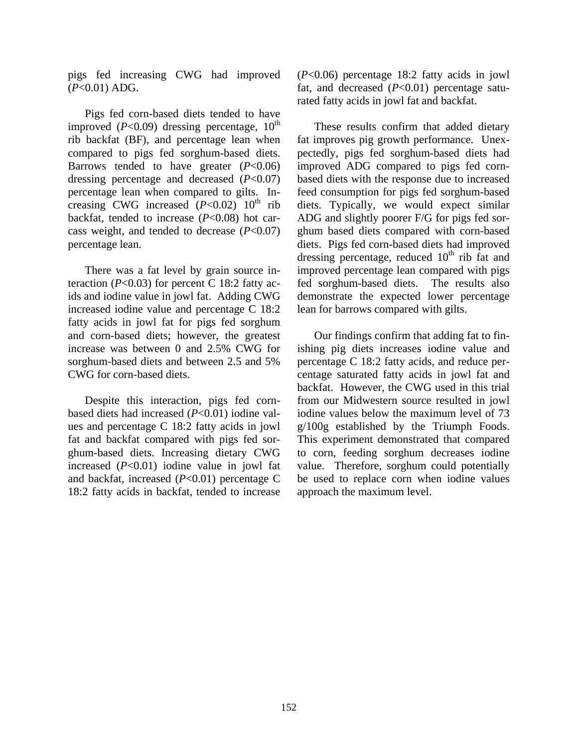pigs fed increasing CWG had improved (*P*<0.01) ADG.

Pigs fed corn-based diets tended to have improved  $(P<0.09)$  dressing percentage,  $10^{th}$ rib backfat (BF), and percentage lean when compared to pigs fed sorghum-based diets. Barrows tended to have greater  $(P<0.06)$ dressing percentage and decreased (*P*<0.07) percentage lean when compared to gilts. Increasing CWG increased  $(P<0.02)$  10<sup>th</sup> rib backfat, tended to increase (*P*<0.08) hot carcass weight, and tended to decrease  $(P<0.07)$ percentage lean.

There was a fat level by grain source interaction ( $P<0.03$ ) for percent C 18:2 fatty acids and iodine value in jowl fat. Adding CWG increased iodine value and percentage C 18:2 fatty acids in jowl fat for pigs fed sorghum and corn-based diets; however, the greatest increase was between 0 and 2.5% CWG for sorghum-based diets and between 2.5 and 5% CWG for corn-based diets.

Despite this interaction, pigs fed cornbased diets had increased (*P*<0.01) iodine values and percentage C 18:2 fatty acids in jowl fat and backfat compared with pigs fed sorghum-based diets. Increasing dietary CWG increased (*P*<0.01) iodine value in jowl fat and backfat, increased (*P*<0.01) percentage C 18:2 fatty acids in backfat, tended to increase (*P*<0.06) percentage 18:2 fatty acids in jowl fat, and decreased (*P*<0.01) percentage saturated fatty acids in jowl fat and backfat.

These results confirm that added dietary fat improves pig growth performance. Unexpectedly, pigs fed sorghum-based diets had improved ADG compared to pigs fed cornbased diets with the response due to increased feed consumption for pigs fed sorghum-based diets. Typically, we would expect similar ADG and slightly poorer F/G for pigs fed sorghum based diets compared with corn-based diets. Pigs fed corn-based diets had improved dressing percentage, reduced  $10<sup>th</sup>$  rib fat and improved percentage lean compared with pigs fed sorghum-based diets. The results also demonstrate the expected lower percentage lean for barrows compared with gilts.

Our findings confirm that adding fat to finishing pig diets increases iodine value and percentage C 18:2 fatty acids, and reduce percentage saturated fatty acids in jowl fat and backfat. However, the CWG used in this trial from our Midwestern source resulted in jowl iodine values below the maximum level of 73 g/100g established by the Triumph Foods. This experiment demonstrated that compared to corn, feeding sorghum decreases iodine value. Therefore, sorghum could potentially be used to replace corn when iodine values approach the maximum level.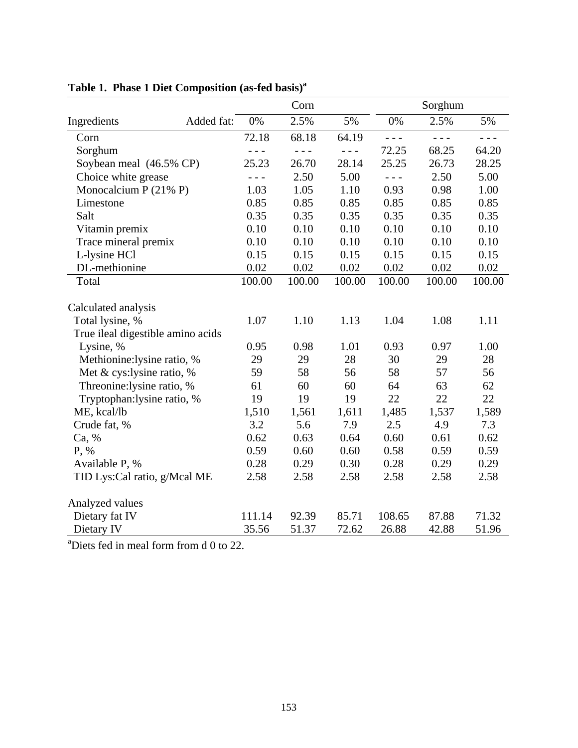|                                                     |            |         | Corn    |         |         | Sorghum |         |
|-----------------------------------------------------|------------|---------|---------|---------|---------|---------|---------|
| Ingredients                                         | Added fat: | 0%      | 2.5%    | 5%      | 0%      | 2.5%    | 5%      |
| Corn                                                |            | 72.18   | 68.18   | 64.19   | $- - -$ | $- - -$ | $- - -$ |
| Sorghum                                             |            | $- - -$ | $- - -$ | $- - -$ | 72.25   | 68.25   | 64.20   |
| Soybean meal (46.5% CP)                             |            | 25.23   | 26.70   | 28.14   | 25.25   | 26.73   | 28.25   |
| Choice white grease                                 |            | $- - -$ | 2.50    | 5.00    | $- - -$ | 2.50    | 5.00    |
| Monocalcium P $(21\% P)$                            |            | 1.03    | 1.05    | 1.10    | 0.93    | 0.98    | 1.00    |
| Limestone                                           |            | 0.85    | 0.85    | 0.85    | 0.85    | 0.85    | 0.85    |
| Salt                                                |            | 0.35    | 0.35    | 0.35    | 0.35    | 0.35    | 0.35    |
| Vitamin premix                                      |            | 0.10    | 0.10    | 0.10    | 0.10    | 0.10    | 0.10    |
| Trace mineral premix                                |            | 0.10    | 0.10    | 0.10    | 0.10    | 0.10    | 0.10    |
| L-lysine HCl                                        |            | 0.15    | 0.15    | 0.15    | 0.15    | 0.15    | 0.15    |
| DL-methionine                                       |            | 0.02    | 0.02    | 0.02    | 0.02    | 0.02    | 0.02    |
| Total                                               |            | 100.00  | 100.00  | 100.00  | 100.00  | 100.00  | 100.00  |
| Calculated analysis                                 |            |         |         |         |         |         |         |
| Total lysine, %                                     |            | 1.07    | 1.10    | 1.13    | 1.04    | 1.08    | 1.11    |
| True ileal digestible amino acids                   |            |         |         |         |         |         |         |
| Lysine, %                                           |            | 0.95    | 0.98    | 1.01    | 0.93    | 0.97    | 1.00    |
| Methionine:lysine ratio, %                          |            | 29      | 29      | 28      | 30      | 29      | 28      |
| Met & cys: lysine ratio, $%$                        |            | 59      | 58      | 56      | 58      | 57      | 56      |
| Threonine: lysine ratio, %                          |            | 61      | 60      | 60      | 64      | 63      | 62      |
| Tryptophan: lysine ratio, %                         |            | 19      | 19      | 19      | 22      | 22      | 22      |
| ME, kcal/lb                                         |            | 1,510   | 1,561   | 1,611   | 1,485   | 1,537   | 1,589   |
| Crude fat, %                                        |            | 3.2     | 5.6     | 7.9     | 2.5     | 4.9     | 7.3     |
| Ca, %                                               |            | 0.62    | 0.63    | 0.64    | 0.60    | 0.61    | 0.62    |
| P, %                                                |            | 0.59    | 0.60    | 0.60    | 0.58    | 0.59    | 0.59    |
| Available P, %                                      |            | 0.28    | 0.29    | 0.30    | 0.28    | 0.29    | 0.29    |
| TID Lys: Cal ratio, g/Mcal ME                       |            | 2.58    | 2.58    | 2.58    | 2.58    | 2.58    | 2.58    |
| Analyzed values                                     |            |         |         |         |         |         |         |
| Dietary fat IV                                      |            | 111.14  | 92.39   | 85.71   | 108.65  | 87.88   | 71.32   |
| Dietary IV                                          |            | 35.56   | 51.37   | 72.62   | 26.88   | 42.88   | 51.96   |
| <sup>a</sup> Diets fed in meal form from d 0 to 22. |            |         |         |         |         |         |         |

|  | Table 1. Phase 1 Diet Composition (as-fed basis) <sup>a</sup> |  |
|--|---------------------------------------------------------------|--|
|  |                                                               |  |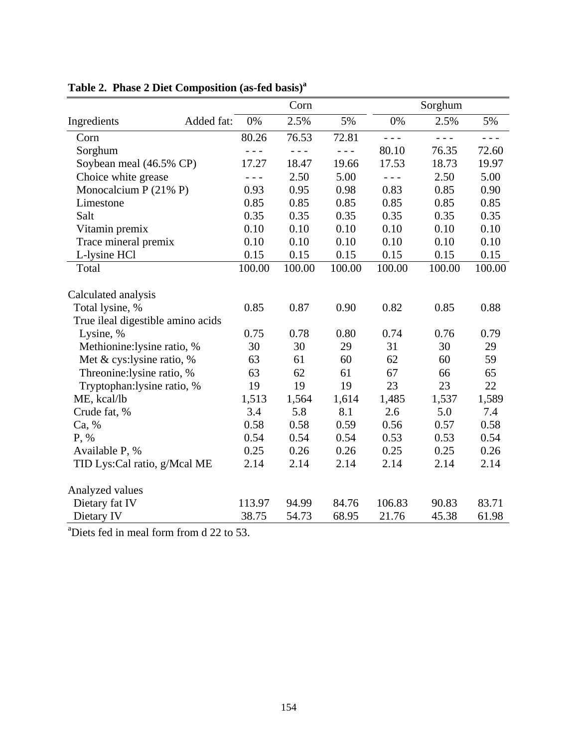|                                                      |            |         | Corn    |         |         | Sorghum |         |
|------------------------------------------------------|------------|---------|---------|---------|---------|---------|---------|
| Ingredients                                          | Added fat: | 0%      | 2.5%    | 5%      | 0%      | 2.5%    | 5%      |
| Corn                                                 |            | 80.26   | 76.53   | 72.81   | $- - -$ | $- - -$ | $- - -$ |
| Sorghum                                              |            | $- - -$ | $- - -$ | $- - -$ | 80.10   | 76.35   | 72.60   |
| Soybean meal (46.5% CP)                              |            | 17.27   | 18.47   | 19.66   | 17.53   | 18.73   | 19.97   |
| Choice white grease                                  |            | $- - -$ | 2.50    | 5.00    | $- - -$ | 2.50    | 5.00    |
| Monocalcium P (21% P)                                |            | 0.93    | 0.95    | 0.98    | 0.83    | 0.85    | 0.90    |
| Limestone                                            |            | 0.85    | 0.85    | 0.85    | 0.85    | 0.85    | 0.85    |
| Salt                                                 |            | 0.35    | 0.35    | 0.35    | 0.35    | 0.35    | 0.35    |
| Vitamin premix                                       |            | 0.10    | 0.10    | 0.10    | 0.10    | 0.10    | 0.10    |
| Trace mineral premix                                 |            | 0.10    | 0.10    | 0.10    | 0.10    | 0.10    | 0.10    |
| L-lysine HCl                                         |            | 0.15    | 0.15    | 0.15    | 0.15    | 0.15    | 0.15    |
| Total                                                |            | 100.00  | 100.00  | 100.00  | 100.00  | 100.00  | 100.00  |
| Calculated analysis                                  |            |         |         |         |         |         |         |
| Total lysine, %                                      |            | 0.85    | 0.87    | 0.90    | 0.82    | 0.85    | 0.88    |
| True ileal digestible amino acids                    |            |         |         |         |         |         |         |
| Lysine, %                                            |            | 0.75    | 0.78    | 0.80    | 0.74    | 0.76    | 0.79    |
| Methionine:lysine ratio, %                           |            | 30      | 30      | 29      | 31      | 30      | 29      |
| Met & cys:lysine ratio, %                            |            | 63      | 61      | 60      | 62      | 60      | 59      |
| Threonine: lysine ratio, %                           |            | 63      | 62      | 61      | 67      | 66      | 65      |
| Tryptophan: lysine ratio, %                          |            | 19      | 19      | 19      | 23      | 23      | 22      |
| ME, kcal/lb                                          |            | 1,513   | 1,564   | 1,614   | 1,485   | 1,537   | 1,589   |
| Crude fat, %                                         |            | 3.4     | 5.8     | 8.1     | 2.6     | 5.0     | 7.4     |
| Ca, %                                                |            | 0.58    | 0.58    | 0.59    | 0.56    | 0.57    | 0.58    |
| P, %                                                 |            | 0.54    | 0.54    | 0.54    | 0.53    | 0.53    | 0.54    |
| Available P, %                                       |            | 0.25    | 0.26    | 0.26    | 0.25    | 0.25    | 0.26    |
| TID Lys: Cal ratio, g/Mcal ME                        |            | 2.14    | 2.14    | 2.14    | 2.14    | 2.14    | 2.14    |
| Analyzed values                                      |            |         |         |         |         |         |         |
| Dietary fat IV                                       |            | 113.97  | 94.99   | 84.76   | 106.83  | 90.83   | 83.71   |
| Dietary IV                                           |            | 38.75   | 54.73   | 68.95   | 21.76   | 45.38   | 61.98   |
| <sup>a</sup> Diets fed in meal form from d 22 to 53. |            |         |         |         |         |         |         |

**Table 2. Phase 2 Diet Composition (as-fed basis)a**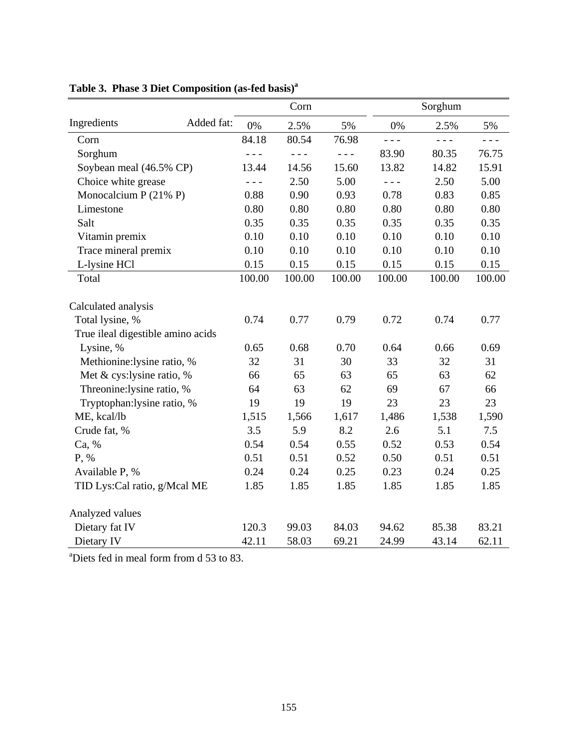|                                   |                                       | Corn    |         |         | Sorghum                       |        |
|-----------------------------------|---------------------------------------|---------|---------|---------|-------------------------------|--------|
| Ingredients<br>Added fat:         | 0%                                    | 2.5%    | 5%      | 0%      | 2.5%                          | 5%     |
| Corn                              | 84.18                                 | 80.54   | 76.98   | $- - -$ | $\frac{1}{2}$ = $\frac{1}{2}$ | - - -  |
| Sorghum                           | $\omega_{\rm c}$ and $\omega_{\rm c}$ | $- - -$ | $- - -$ | 83.90   | 80.35                         | 76.75  |
| Soybean meal (46.5% CP)           | 13.44                                 | 14.56   | 15.60   | 13.82   | 14.82                         | 15.91  |
| Choice white grease               | $\frac{1}{2}$ = $\frac{1}{2}$         | 2.50    | 5.00    | $- - -$ | 2.50                          | 5.00   |
| Monocalcium P $(21\% P)$          | 0.88                                  | 0.90    | 0.93    | 0.78    | 0.83                          | 0.85   |
| Limestone                         | 0.80                                  | 0.80    | 0.80    | 0.80    | 0.80                          | 0.80   |
| Salt                              | 0.35                                  | 0.35    | 0.35    | 0.35    | 0.35                          | 0.35   |
| Vitamin premix                    | 0.10                                  | 0.10    | 0.10    | 0.10    | 0.10                          | 0.10   |
| Trace mineral premix              | 0.10                                  | 0.10    | 0.10    | 0.10    | 0.10                          | 0.10   |
| L-lysine HCl                      | 0.15                                  | 0.15    | 0.15    | 0.15    | 0.15                          | 0.15   |
| Total                             | 100.00                                | 100.00  | 100.00  | 100.00  | 100.00                        | 100.00 |
| Calculated analysis               |                                       |         |         |         |                               |        |
| Total lysine, %                   | 0.74                                  | 0.77    | 0.79    | 0.72    | 0.74                          | 0.77   |
| True ileal digestible amino acids |                                       |         |         |         |                               |        |
| Lysine, %                         | 0.65                                  | 0.68    | 0.70    | 0.64    | 0.66                          | 0.69   |
| Methionine:lysine ratio, %        | 32                                    | 31      | 30      | 33      | 32                            | 31     |
| Met & cys:lysine ratio, %         | 66                                    | 65      | 63      | 65      | 63                            | 62     |
| Threonine: lysine ratio, %        | 64                                    | 63      | 62      | 69      | 67                            | 66     |
| Tryptophan: lysine ratio, %       | 19                                    | 19      | 19      | 23      | 23                            | 23     |
| ME, kcal/lb                       | 1,515                                 | 1,566   | 1,617   | 1,486   | 1,538                         | 1,590  |
| Crude fat, %                      | 3.5                                   | 5.9     | 8.2     | 2.6     | 5.1                           | 7.5    |
| Ca, %                             | 0.54                                  | 0.54    | 0.55    | 0.52    | 0.53                          | 0.54   |
| P, %                              | 0.51                                  | 0.51    | 0.52    | 0.50    | 0.51                          | 0.51   |
| Available P, %                    | 0.24                                  | 0.24    | 0.25    | 0.23    | 0.24                          | 0.25   |
| TID Lys: Cal ratio, g/Mcal ME     | 1.85                                  | 1.85    | 1.85    | 1.85    | 1.85                          | 1.85   |
| Analyzed values                   |                                       |         |         |         |                               |        |
| Dietary fat IV                    | 120.3                                 | 99.03   | 84.03   | 94.62   | 85.38                         | 83.21  |
| Dietary IV                        | 42.11                                 | 58.03   | 69.21   | 24.99   | 43.14                         | 62.11  |

# **Table 3. Phase 3 Diet Composition (as-fed basis)a**

a Diets fed in meal form from d 53 to 83.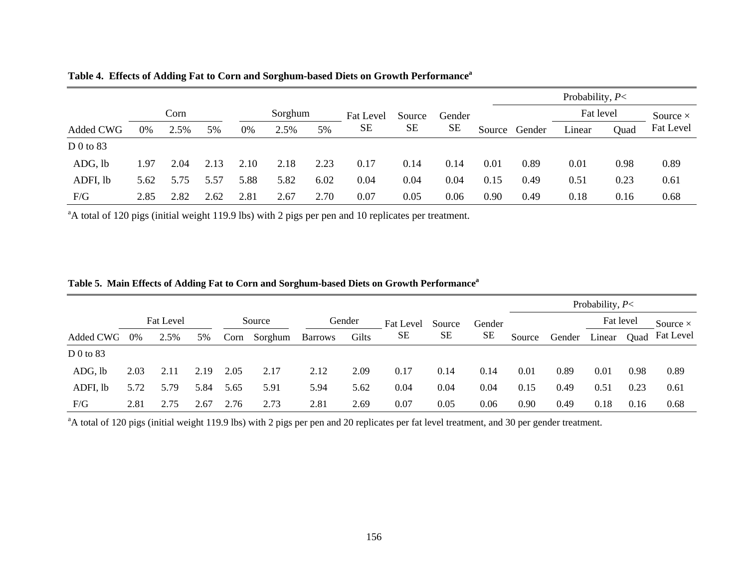|             |      |      |      |      |         |      |                  |           |           | Probability, $P<$ |               |           |                 |           |  |  |  |  |  |
|-------------|------|------|------|------|---------|------|------------------|-----------|-----------|-------------------|---------------|-----------|-----------------|-----------|--|--|--|--|--|
|             | Corn |      |      |      | Sorghum |      | <b>Fat Level</b> | Source    | Gender    |                   |               | Fat level | Source $\times$ |           |  |  |  |  |  |
| Added CWG   | 0%   | 2.5% | 5%   | 0%   | 2.5%    | 5%   | <b>SE</b>        | <b>SE</b> | <b>SE</b> |                   | Source Gender | Linear    | Ouad            | Fat Level |  |  |  |  |  |
| D $0$ to 83 |      |      |      |      |         |      |                  |           |           |                   |               |           |                 |           |  |  |  |  |  |
| ADG, lb     | l.97 | 2.04 | 2.13 | 2.10 | 2.18    | 2.23 | 0.17             | 0.14      | 0.14      | 0.01              | 0.89          | 0.01      | 0.98            | 0.89      |  |  |  |  |  |
| ADFI, lb    | 5.62 | 5.75 | 5.57 | 5.88 | 5.82    | 6.02 | 0.04             | 0.04      | 0.04      | 0.15              | 0.49          | 0.51      | 0.23            | 0.61      |  |  |  |  |  |
| F/G         | 2.85 | 2.82 | 2.62 | 2.81 | 2.67    | 2.70 | $0.07\,$         | 0.05      | 0.06      | 0.90              | 0.49          | 0.18      | 0.16            | 0.68      |  |  |  |  |  |

**Table 4. Effects of Adding Fat to Corn and Sorghum-based Diets on Growth Performancea**

<sup>a</sup>A total of 120 pigs (initial weight 119.9 lbs) with 2 pigs per pen and 10 replicates per treatment.

|             |                  |      |      |        |         |                |       |           |        |           | Probability, $P<$ |        |           |      |                  |  |  |  |  |
|-------------|------------------|------|------|--------|---------|----------------|-------|-----------|--------|-----------|-------------------|--------|-----------|------|------------------|--|--|--|--|
|             | <b>Fat Level</b> |      |      | Source |         | Gender         |       | Fat Level | Source | Gender    |                   |        | Fat level |      | Source $\times$  |  |  |  |  |
| Added CWG   | $0\%$            | 2.5% | 5%   | Corn   | Sorghum | <b>Barrows</b> | Gilts | SE        | SЕ     | <b>SE</b> | Source            | Gender | Linear    | Ouad | <b>Fat Level</b> |  |  |  |  |
| $D$ 0 to 83 |                  |      |      |        |         |                |       |           |        |           |                   |        |           |      |                  |  |  |  |  |
| ADG, lb     | 2.03             | 2.11 | 2.19 | 2.05   | 2.17    | 2.12           | 2.09  | 0.17      | 0.14   | 0.14      | 0.01              | 0.89   | 0.01      | 0.98 | 0.89             |  |  |  |  |
| ADFI, lb    | 5.72             | 5.79 | 5.84 | 5.65   | 5.91    | 5.94           | 5.62  | 0.04      | 0.04   | 0.04      | 0.15              | 0.49   | 0.51      | 0.23 | 0.61             |  |  |  |  |
| F/G         | 2.81             | 2.75 | 2.67 | 2.76   | 2.73    | 2.81           | 2.69  | 0.07      | 0.05   | 0.06      | 0.90              | 0.49   | 0.18      | 0.16 | 0.68             |  |  |  |  |

**Table 5. Main Effects of Adding Fat to Corn and Sorghum-based Diets on Growth Performance<sup>a</sup>**

<sup>a</sup>A total of 120 pigs (initial weight 119.9 lbs) with 2 pigs per pen and 20 replicates per fat level treatment, and 30 per gender treatment.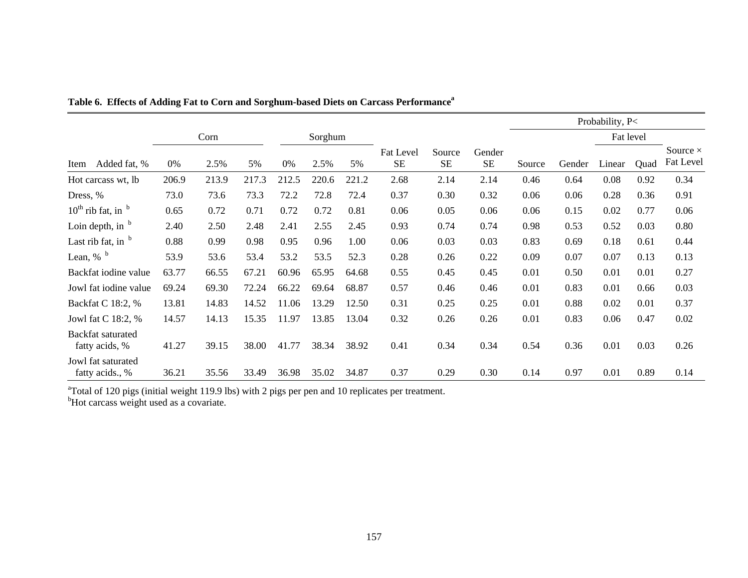|                                            |       |       |       |       |         |       |                               |                     |                     | Probability, P< |        |           |      |                              |
|--------------------------------------------|-------|-------|-------|-------|---------|-------|-------------------------------|---------------------|---------------------|-----------------|--------|-----------|------|------------------------------|
|                                            |       | Corn  |       |       | Sorghum |       |                               |                     |                     |                 |        | Fat level |      |                              |
| Added fat, %<br>Item                       | 0%    | 2.5%  | 5%    | 0%    | 2.5%    | 5%    | <b>Fat Level</b><br><b>SE</b> | Source<br><b>SE</b> | Gender<br><b>SE</b> | Source          | Gender | Linear    | Quad | Source $\times$<br>Fat Level |
| Hot carcass wt, lb                         | 206.9 | 213.9 | 217.3 | 212.5 | 220.6   | 221.2 | 2.68                          | 2.14                | 2.14                | 0.46            | 0.64   | 0.08      | 0.92 | 0.34                         |
| Dress, %                                   | 73.0  | 73.6  | 73.3  | 72.2  | 72.8    | 72.4  | 0.37                          | 0.30                | 0.32                | 0.06            | 0.06   | 0.28      | 0.36 | 0.91                         |
| $10^{th}$ rib fat, in $b$                  | 0.65  | 0.72  | 0.71  | 0.72  | 0.72    | 0.81  | 0.06                          | 0.05                | 0.06                | 0.06            | 0.15   | 0.02      | 0.77 | 0.06                         |
| Loin depth, in $b$                         | 2.40  | 2.50  | 2.48  | 2.41  | 2.55    | 2.45  | 0.93                          | 0.74                | 0.74                | 0.98            | 0.53   | 0.52      | 0.03 | 0.80                         |
| Last rib fat, in $b$                       | 0.88  | 0.99  | 0.98  | 0.95  | 0.96    | 1.00  | 0.06                          | 0.03                | 0.03                | 0.83            | 0.69   | 0.18      | 0.61 | 0.44                         |
| Lean, $%$ <sup>b</sup>                     | 53.9  | 53.6  | 53.4  | 53.2  | 53.5    | 52.3  | 0.28                          | 0.26                | 0.22                | 0.09            | 0.07   | 0.07      | 0.13 | 0.13                         |
| Backfat iodine value                       | 63.77 | 66.55 | 67.21 | 60.96 | 65.95   | 64.68 | 0.55                          | 0.45                | 0.45                | 0.01            | 0.50   | 0.01      | 0.01 | 0.27                         |
| Jowl fat iodine value                      | 69.24 | 69.30 | 72.24 | 66.22 | 69.64   | 68.87 | 0.57                          | 0.46                | 0.46                | 0.01            | 0.83   | 0.01      | 0.66 | 0.03                         |
| Backfat C 18:2, %                          | 13.81 | 14.83 | 14.52 | 11.06 | 13.29   | 12.50 | 0.31                          | 0.25                | 0.25                | 0.01            | 0.88   | 0.02      | 0.01 | 0.37                         |
| Jowl fat C 18:2, %                         | 14.57 | 14.13 | 15.35 | 11.97 | 13.85   | 13.04 | 0.32                          | 0.26                | 0.26                | 0.01            | 0.83   | 0.06      | 0.47 | 0.02                         |
| <b>Backfat saturated</b><br>fatty acids, % | 41.27 | 39.15 | 38.00 | 41.77 | 38.34   | 38.92 | 0.41                          | 0.34                | 0.34                | 0.54            | 0.36   | 0.01      | 0.03 | 0.26                         |
| Jowl fat saturated<br>fatty acids., %      | 36.21 | 35.56 | 33.49 | 36.98 | 35.02   | 34.87 | 0.37                          | 0.29                | 0.30                | 0.14            | 0.97   | 0.01      | 0.89 | 0.14                         |

|  |  | Table 6. Effects of Adding Fat to Corn and Sorghum-based Diets on Carcass Performance <sup>a</sup> |
|--|--|----------------------------------------------------------------------------------------------------|
|--|--|----------------------------------------------------------------------------------------------------|

 $\text{Total of } 120 \text{ pigs}$  (initial weight 119.9 lbs) with 2 pigs per pen and 10 replicates per treatment.

<sup>b</sup>Hot carcass weight used as a covariate.